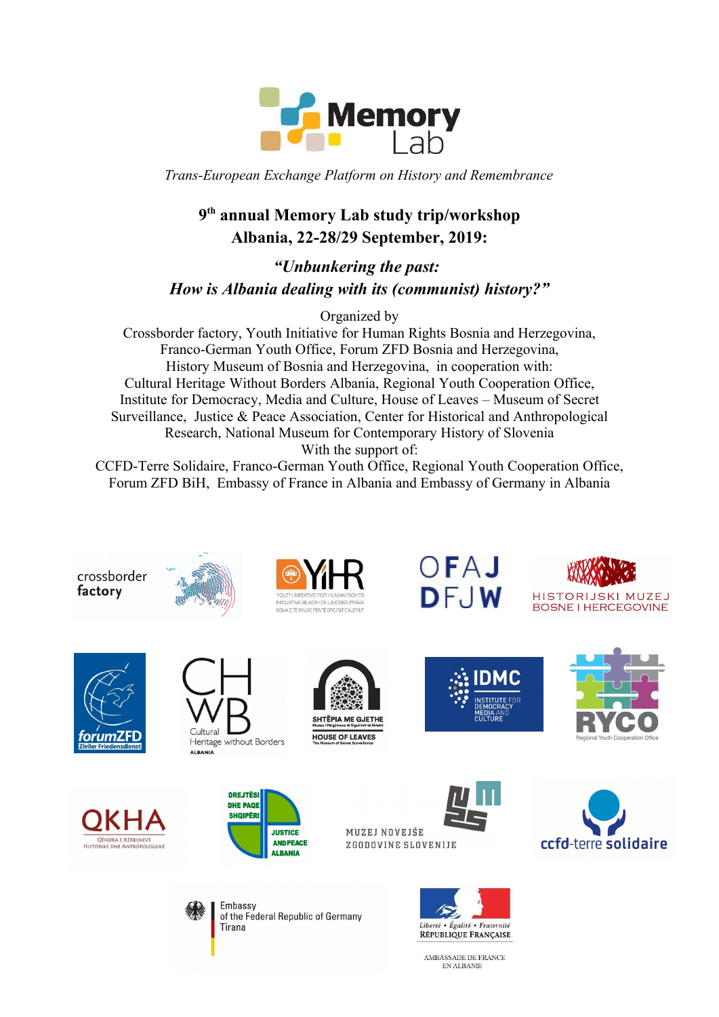

*Trans-European Exchange Platform on History and Remembrance*

# **9 th annual Memory Lab study trip/workshop Albania, 22-28/29 September, 2019:**

*"Unbunkering the past: How is Albania dealing with its (communist) history?"* 

Organized by

Crossborder factory, Youth Initiative for Human Rights Bosnia and Herzegovina, Franco-German Youth Office, Forum ZFD Bosnia and Herzegovina, History Museum of Bosnia and Herzegovina, in cooperation with: Cultural Heritage Without Borders Albania, Regional Youth Cooperation Office, Institute for Democracy, Media and Culture, House of Leaves – Museum of Secret Surveillance, Justice & Peace Association, Center for Historical and Anthropological Research, National Museum for Contemporary History of Slovenia With the support of:

CCFD-Terre Solidaire, Franco-German Youth Office, Regional Youth Cooperation Office, Forum ZFD BiH, Embassy of France in Albania and Embassy of Germany in Albania



crossborder

factory



Heritage without Borders **ALBANIA** 





OFAJ

DFJW



HISTORIJSKI MUZEJ **BOSNE I HERCEGOVINE** 













AMBASSADE DE FRANCE EN ALBANIE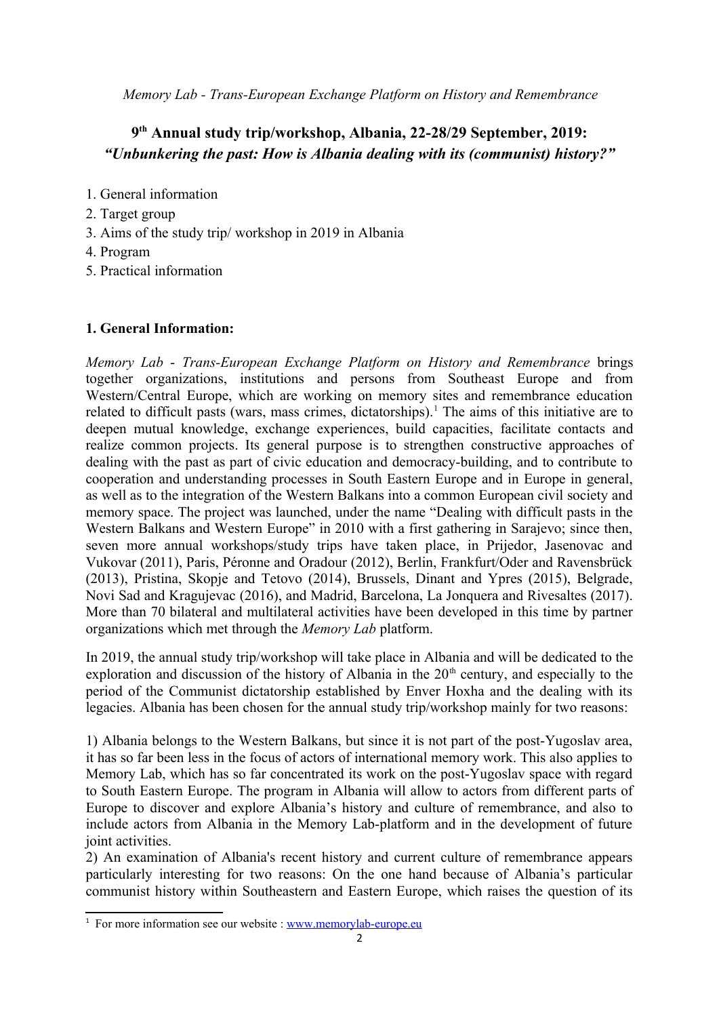*Memory Lab - Trans-European Exchange Platform on History and Remembrance*

## **9 th Annual study trip/workshop, Albania, 22-28/29 September, 2019:** *"Unbunkering the past: How is Albania dealing with its (communist) history?"*

- 1. General information
- 2. Target group
- 3. Aims of the study trip/ workshop in 2019 in Albania
- 4. Program
- 5. Practical information

#### **1. General Information:**

*Memory Lab* - *Trans-European Exchange Platform on History and Remembrance* brings together organizations, institutions and persons from Southeast Europe and from Western/Central Europe, which are working on memory sites and remembrance education related to difficult pasts (wars, mass crimes, dictatorships).<sup>[1](#page-1-0)</sup> The aims of this initiative are to deepen mutual knowledge, exchange experiences, build capacities, facilitate contacts and realize common projects. Its general purpose is to strengthen constructive approaches of dealing with the past as part of civic education and democracy-building, and to contribute to cooperation and understanding processes in South Eastern Europe and in Europe in general, as well as to the integration of the Western Balkans into a common European civil society and memory space. The project was launched, under the name "Dealing with difficult pasts in the Western Balkans and Western Europe" in 2010 with a first gathering in Sarajevo; since then, seven more annual workshops/study trips have taken place, in Prijedor, Jasenovac and Vukovar (2011), Paris, Péronne and Oradour (2012), Berlin, Frankfurt/Oder and Ravensbrück (2013), Pristina, Skopje and Tetovo (2014), Brussels, Dinant and Ypres (2015), Belgrade, Novi Sad and Kragujevac (2016), and Madrid, Barcelona, La Jonquera and Rivesaltes (2017). More than 70 bilateral and multilateral activities have been developed in this time by partner organizations which met through the *Memory Lab* platform.

In 2019, the annual study trip/workshop will take place in Albania and will be dedicated to the exploration and discussion of the history of Albania in the  $20<sup>th</sup>$  century, and especially to the period of the Communist dictatorship established by Enver Hoxha and the dealing with its legacies. Albania has been chosen for the annual study trip/workshop mainly for two reasons:

1) Albania belongs to the Western Balkans, but since it is not part of the post-Yugoslav area, it has so far been less in the focus of actors of international memory work. This also applies to Memory Lab, which has so far concentrated its work on the post-Yugoslav space with regard to South Eastern Europe. The program in Albania will allow to actors from different parts of Europe to discover and explore Albania's history and culture of remembrance, and also to include actors from Albania in the Memory Lab-platform and in the development of future joint activities.

2) An examination of Albania's recent history and current culture of remembrance appears particularly interesting for two reasons: On the one hand because of Albania's particular communist history within Southeastern and Eastern Europe, which raises the question of its

<span id="page-1-0"></span><sup>&</sup>lt;sup>1</sup> For more information see our website : [www.memorylab-europe.eu](http://www.memorylab-europe.eu/)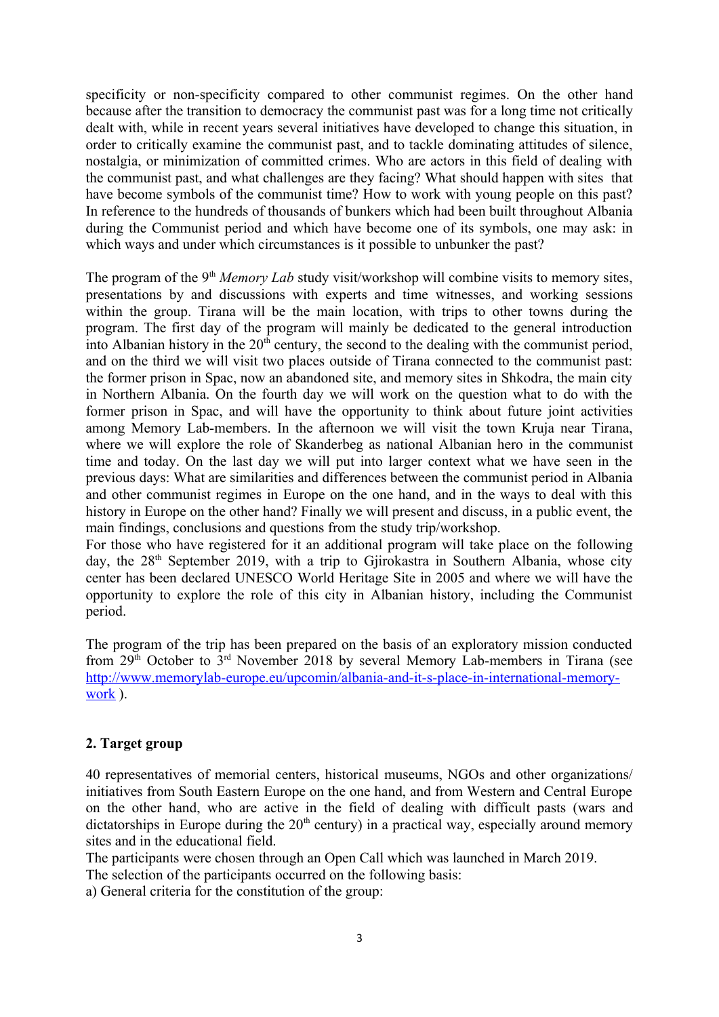specificity or non-specificity compared to other communist regimes. On the other hand because after the transition to democracy the communist past was for a long time not critically dealt with, while in recent years several initiatives have developed to change this situation, in order to critically examine the communist past, and to tackle dominating attitudes of silence, nostalgia, or minimization of committed crimes. Who are actors in this field of dealing with the communist past, and what challenges are they facing? What should happen with sites that have become symbols of the communist time? How to work with young people on this past? In reference to the hundreds of thousands of bunkers which had been built throughout Albania during the Communist period and which have become one of its symbols, one may ask: in which ways and under which circumstances is it possible to unbunker the past?

The program of the 9<sup>th</sup> *Memory Lab* study visit/workshop will combine visits to memory sites, presentations by and discussions with experts and time witnesses, and working sessions within the group. Tirana will be the main location, with trips to other towns during the program. The first day of the program will mainly be dedicated to the general introduction into Albanian history in the  $20<sup>th</sup>$  century, the second to the dealing with the communist period, and on the third we will visit two places outside of Tirana connected to the communist past: the former prison in Spac, now an abandoned site, and memory sites in Shkodra, the main city in Northern Albania. On the fourth day we will work on the question what to do with the former prison in Spac, and will have the opportunity to think about future joint activities among Memory Lab-members. In the afternoon we will visit the town Kruja near Tirana, where we will explore the role of Skanderbeg as national Albanian hero in the communist time and today. On the last day we will put into larger context what we have seen in the previous days: What are similarities and differences between the communist period in Albania and other communist regimes in Europe on the one hand, and in the ways to deal with this history in Europe on the other hand? Finally we will present and discuss, in a public event, the main findings, conclusions and questions from the study trip/workshop.

For those who have registered for it an additional program will take place on the following day, the  $28<sup>th</sup>$  September 2019, with a trip to Gjirokastra in Southern Albania, whose city center has been declared UNESCO World Heritage Site in 2005 and where we will have the opportunity to explore the role of this city in Albanian history, including the Communist period.

The program of the trip has been prepared on the basis of an exploratory mission conducted from 29th October to 3rd November 2018 by several Memory Lab-members in Tirana (see [http://www.memorylab-europe.eu/upcomin/albania-and-it-s-place-in-international-memory](http://www.memorylab-europe.eu/upcomin/albania-and-it-s-place-in-international-memory-work)[work](http://www.memorylab-europe.eu/upcomin/albania-and-it-s-place-in-international-memory-work) ).

### **2. Target group**

40 representatives of memorial centers, historical museums, NGOs and other organizations/ initiatives from South Eastern Europe on the one hand, and from Western and Central Europe on the other hand, who are active in the field of dealing with difficult pasts (wars and dictatorships in Europe during the  $20<sup>th</sup>$  century) in a practical way, especially around memory sites and in the educational field.

The participants were chosen through an Open Call which was launched in March 2019.

The selection of the participants occurred on the following basis:

a) General criteria for the constitution of the group: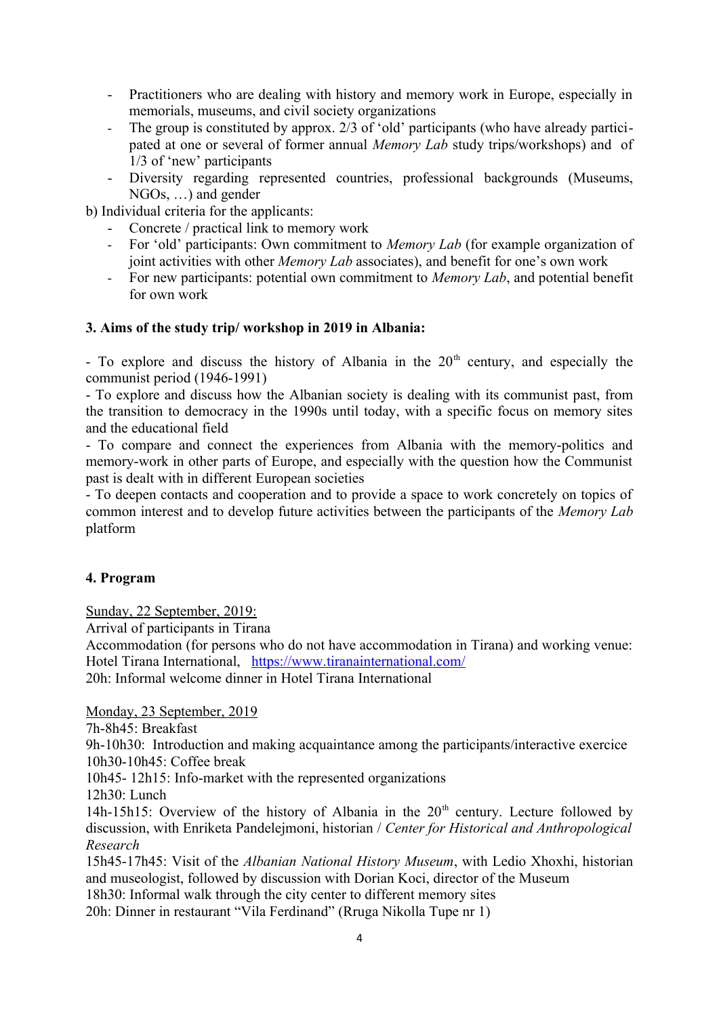- Practitioners who are dealing with history and memory work in Europe, especially in memorials, museums, and civil society organizations
- The group is constituted by approx. 2/3 of 'old' participants (who have already participated at one or several of former annual *Memory Lab* study trips/workshops) and of 1/3 of 'new' participants
- Diversity regarding represented countries, professional backgrounds (Museums, NGOs, …) and gender

b) Individual criteria for the applicants:

- Concrete / practical link to memory work
- For 'old' participants: Own commitment to *Memory Lab* (for example organization of joint activities with other *Memory Lab* associates), and benefit for one's own work
- For new participants: potential own commitment to *Memory Lab*, and potential benefit for own work

### **3. Aims of the study trip/ workshop in 2019 in Albania:**

- To explore and discuss the history of Albania in the  $20<sup>th</sup>$  century, and especially the communist period (1946-1991)

- To explore and discuss how the Albanian society is dealing with its communist past, from the transition to democracy in the 1990s until today, with a specific focus on memory sites and the educational field

- To compare and connect the experiences from Albania with the memory-politics and memory-work in other parts of Europe, and especially with the question how the Communist past is dealt with in different European societies

- To deepen contacts and cooperation and to provide a space to work concretely on topics of common interest and to develop future activities between the participants of the *Memory Lab* platform

### **4. Program**

Sunday, 22 September, 2019:

Arrival of participants in Tirana

Accommodation (for persons who do not have accommodation in Tirana) and working venue: Hotel Tirana International, <https://www.tiranainternational.com/> 20h: Informal welcome dinner in Hotel Tirana International

Monday, 23 September, 2019

7h-8h45: Breakfast

9h-10h30: Introduction and making acquaintance among the participants/interactive exercice 10h30-10h45: Coffee break

10h45- 12h15: Info-market with the represented organizations

12h30: Lunch

14h-15h15: Overview of the history of Albania in the  $20<sup>th</sup>$  century. Lecture followed by discussion, with Enriketa Pandelejmoni, historian / *Center for Historical and Anthropological Research*

15h45-17h45: Visit of the *Albanian National History Museum*, with Ledio Xhoxhi, historian and museologist, followed by discussion with Dorian Koci, director of the Museum 18h30: Informal walk through the city center to different memory sites

20h: Dinner in restaurant "Vila Ferdinand" (Rruga Nikolla Tupe nr 1)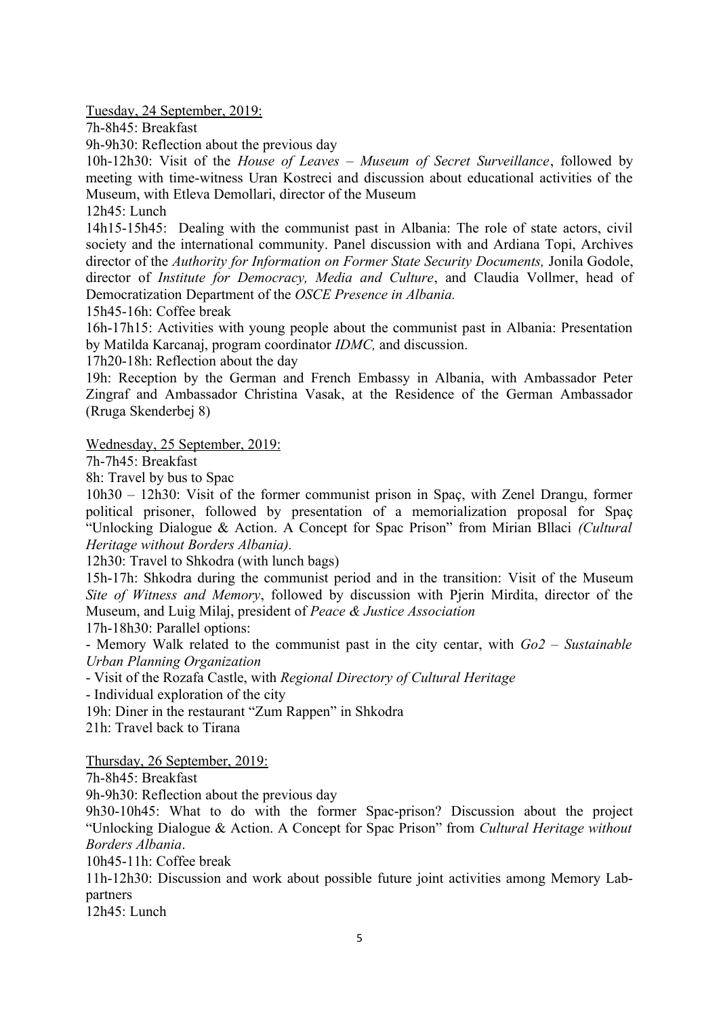Tuesday, 24 September, 2019:

7h-8h45: Breakfast

9h-9h30: Reflection about the previous day

10h-12h30: Visit of the *House of Leaves – Museum of Secret Surveillance*, followed by meeting with time-witness Uran Kostreci and discussion about educational activities of the Museum, with Etleva Demollari, director of the Museum

12h45: Lunch

14h15-15h45: Dealing with the communist past in Albania: The role of state actors, civil society and the international community. Panel discussion with and Ardiana Topi, Archives director of the *Authority for Information on Former State Security Documents*, Jonila Godole, director of *Institute for Democracy, Media and Culture*, and Claudia Vollmer, head of Democratization Department of the *OSCE Presence in Albania.* 

15h45-16h: Coffee break

16h-17h15: Activities with young people about the communist past in Albania: Presentation by Matilda Karcanaj, program coordinator *IDMC,* and discussion.

17h20-18h: Reflection about the day

19h: Reception by the German and French Embassy in Albania, with Ambassador Peter Zingraf and Ambassador Christina Vasak, at the Residence of the German Ambassador (Rruga Skenderbej 8)

Wednesday, 25 September, 2019:

7h-7h45: Breakfast

8h: Travel by bus to Spac

10h30 – 12h30: Visit of the former communist prison in Spaç, with Zenel Drangu, former political prisoner, followed by presentation of a memorialization proposal for Spaç "Unlocking Dialogue & Action. A Concept for Spac Prison" from Mirian Bllaci *(Cultural Heritage without Borders Albania).*

12h30: Travel to Shkodra (with lunch bags)

15h-17h: Shkodra during the communist period and in the transition: Visit of the Museum *Site of Witness and Memory*, followed by discussion with Pjerin Mirdita, director of the Museum, and Luig Milaj, president of *Peace & Justice Association*

17h-18h30: Parallel options:

- Memory Walk related to the communist past in the city centar, with *Go2 – Sustainable Urban Planning Organization*

- Visit of the Rozafa Castle, with *Regional Directory of Cultural Heritage*

- Individual exploration of the city

19h: Diner in the restaurant "Zum Rappen" in Shkodra

21h: Travel back to Tirana

Thursday, 26 September, 2019:

7h-8h45: Breakfast

9h-9h30: Reflection about the previous day

9h30-10h45: What to do with the former Spac-prison? Discussion about the project "Unlocking Dialogue & Action. A Concept for Spac Prison" from *Cultural Heritage without Borders Albania*.

10h45-11h: Coffee break

11h-12h30: Discussion and work about possible future joint activities among Memory Labpartners

12h45: Lunch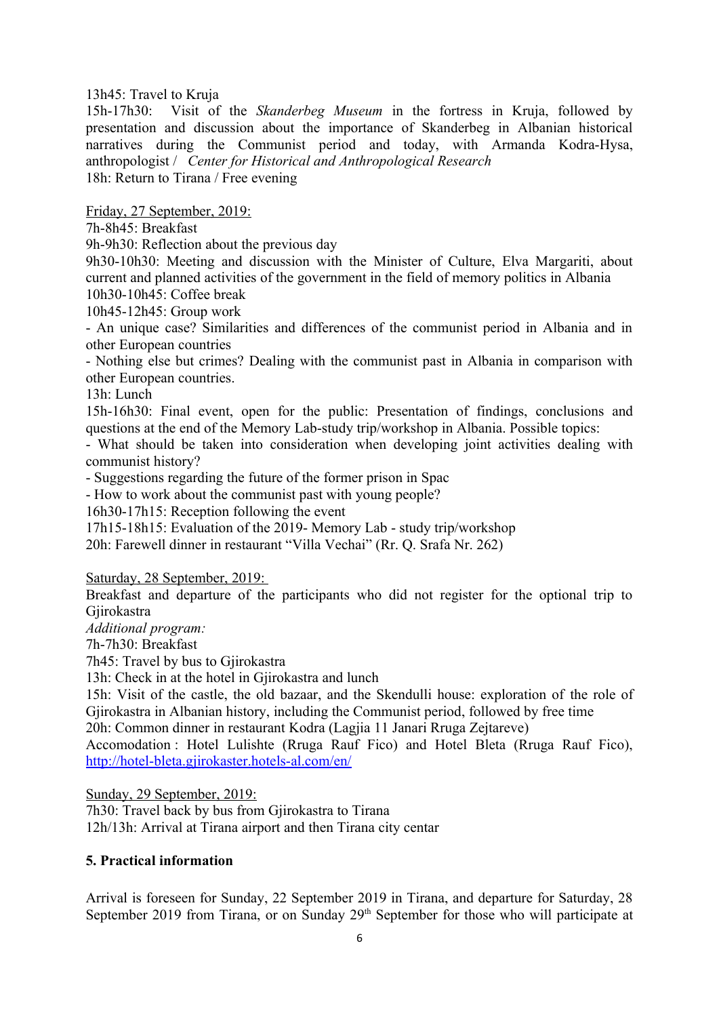13h45: Travel to Kruja

15h-17h30: Visit of the *Skanderbeg Museum* in the fortress in Kruja, followed by presentation and discussion about the importance of Skanderbeg in Albanian historical narratives during the Communist period and today, with Armanda Kodra-Hysa, anthropologist / *Center for Historical and Anthropological Research* 18h: Return to Tirana / Free evening

Friday, 27 September, 2019:

7h-8h45: Breakfast

9h-9h30: Reflection about the previous day

9h30-10h30: Meeting and discussion with the Minister of Culture, Elva Margariti, about current and planned activities of the government in the field of memory politics in Albania 10h30-10h45: Coffee break

10h45-12h45: Group work

- An unique case? Similarities and differences of the communist period in Albania and in other European countries

- Nothing else but crimes? Dealing with the communist past in Albania in comparison with other European countries.

13h: Lunch

15h-16h30: Final event, open for the public: Presentation of findings, conclusions and questions at the end of the Memory Lab-study trip/workshop in Albania. Possible topics:

- What should be taken into consideration when developing joint activities dealing with communist history?

- Suggestions regarding the future of the former prison in Spac

- How to work about the communist past with young people?

16h30-17h15: Reception following the event

17h15-18h15: Evaluation of the 2019- Memory Lab - study trip/workshop

20h: Farewell dinner in restaurant "Villa Vechai" (Rr. Q. Srafa Nr. 262)

Saturday, 28 September, 2019:

Breakfast and departure of the participants who did not register for the optional trip to Gjirokastra

*Additional program:*

7h-7h30: Breakfast

7h45: Travel by bus to Gjirokastra

13h: Check in at the hotel in Gjirokastra and lunch

15h: Visit of the castle, the old bazaar, and the Skendulli house: exploration of the role of Gjirokastra in Albanian history, including the Communist period, followed by free time

20h: Common dinner in restaurant Kodra (Lagjia 11 Janari Rruga Zejtareve)

Accomodation : Hotel Lulishte (Rruga Rauf Fico) and Hotel Bleta (Rruga Rauf Fico), <http://hotel-bleta.gjirokaster.hotels-al.com/en/>

Sunday, 29 September, 2019:

7h30: Travel back by bus from Gjirokastra to Tirana 12h/13h: Arrival at Tirana airport and then Tirana city centar

#### **5. Practical information**

Arrival is foreseen for Sunday, 22 September 2019 in Tirana, and departure for Saturday, 28 September 2019 from Tirana, or on Sunday 29<sup>th</sup> September for those who will participate at